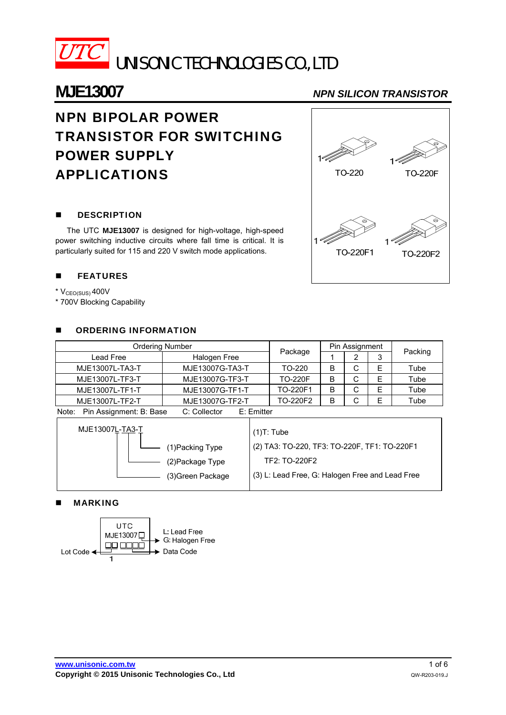

# **MJE13007** *NPN SILICON TRANSISTOR*

# NPN BIPOLAR POWER TRANSISTOR FOR SWITCHING POWER SUPPLY APPLICATIONS

### **DESCRIPTION**

The UTC **MJE13007** is designed for high-voltage, high-speed power switching inductive circuits where fall time is critical. It is particularly suited for 115 and 220 V switch mode applications.

### **EXAMPLE**

- $*$   $V_{CEO(SUS)}$  400V
- \* 700V Blocking Capability

#### **E** ORDERING INFORMATION

| <b>Ordering Number</b> |                 |                | Pin Assignment |   |   |         |  |
|------------------------|-----------------|----------------|----------------|---|---|---------|--|
| Lead Free              | Halogen Free    | Package        |                | ົ |   | Packing |  |
| MJE13007L-TA3-T        | MJE13007G-TA3-T | TO-220         | B              | С | Е | Tube    |  |
| MJE13007L-TF3-T        | MJE13007G-TF3-T | <b>TO-220F</b> | B              | С |   | Tube    |  |
| MJE13007L-TF1-T        | MJE13007G-TF1-T | TO-220F1       | B              | С |   | Tube    |  |
| MJE13007L-TF2-T        | MJE13007G-TF2-T | TO-220F2       | B              | С | F | Tube    |  |

Note: Pin Assignment: B: Base C: Collector E: Emitter

| MJE13007L-TA3-T   | $(1)T:$ Tube                                    |
|-------------------|-------------------------------------------------|
| (1)Packing Type   | (2) TA3: TO-220, TF3: TO-220F, TF1: TO-220F1    |
| (2) Package Type  | TF2: TO-220F2                                   |
| (3) Green Package | (3) L: Lead Free, G: Halogen Free and Lead Free |

### MARKING



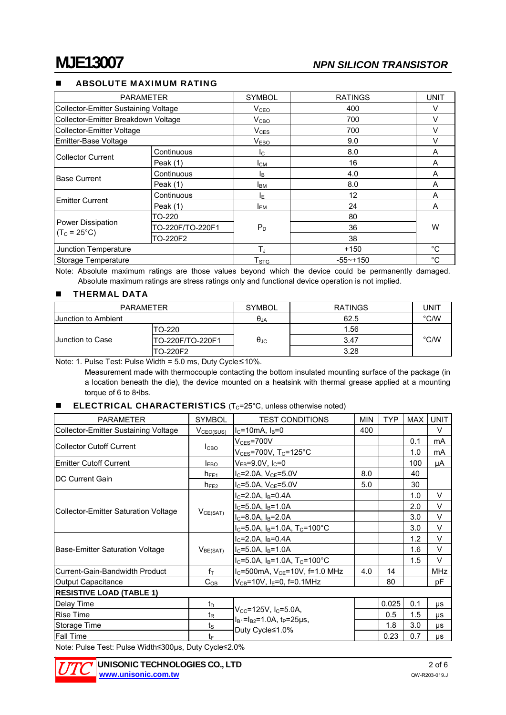### ABSOLUTE MAXIMUM RATING

| <b>PARAMETER</b>                           |                  | <b>SYMBOL</b>             | <b>RATINGS</b> | <b>UNIT</b> |  |
|--------------------------------------------|------------------|---------------------------|----------------|-------------|--|
| Collector-Emitter Sustaining Voltage       |                  | V <sub>CEO</sub>          | 400            | V           |  |
| Collector-Emitter Breakdown Voltage        |                  | V <sub>CBO</sub>          | 700            | V           |  |
| Collector-Emitter Voltage                  |                  | $V_{CES}$                 | 700            |             |  |
| Emitter-Base Voltage                       |                  | V <sub>EBO</sub>          | 9.0            |             |  |
| <b>Collector Current</b>                   | Continuous       | $I_{\rm C}$               | 8.0            | A           |  |
|                                            | Peak (1)         | Iсм                       | 16             | A           |  |
| <b>Base Current</b>                        | Continuous       | Iв                        | 4.0            | A           |  |
|                                            | Peak $(1)$       | Iвм                       | 8.0            | A           |  |
|                                            | Continuous       | ΙE                        | 12             | A           |  |
| <b>Emitter Current</b>                     | Peak $(1)$       | <b>I</b> <sub>EM</sub>    | 24             | A           |  |
| Power Dissipation<br>$(T_C = 25^{\circ}C)$ | TO-220           |                           | 80             | W           |  |
|                                            | TO-220F/TO-220F1 | $P_D$                     | 36             |             |  |
|                                            | TO-220F2         |                           | 38             |             |  |
| Junction Temperature                       |                  | $T_{\rm J}$               | $+150$         | $^{\circ}C$ |  |
| Storage Temperature                        |                  | $\mathsf{T}_{\text{STG}}$ | $-55$ ~+150    | $^{\circ}C$ |  |

Note: Absolute maximum ratings are those values beyond which the device could be permanently damaged. Absolute maximum ratings are stress ratings only and functional device operation is not implied.

### **THERMAL DATA**

| PARAMETER                  |                  | <b>SYMBOL</b>        | <b>RATINGS</b> | UNIT          |  |
|----------------------------|------------------|----------------------|----------------|---------------|--|
| <b>Junction to Ambient</b> |                  | $\theta_{JA}$        | 62.5           | $\degree$ C/W |  |
| <b>Junction to Case</b>    | TO-220           | $\theta_{\text{JC}}$ | 1.56           | $\degree$ C/W |  |
|                            | TO-220F/TO-220F1 |                      | 3.47           |               |  |
|                            | TO-220F2         |                      | 3.28           |               |  |

Note: 1. Pulse Test: Pulse Width = 5.0 ms, Duty Cycle≤10%.

Measurement made with thermocouple contacting the bottom insulated mounting surface of the package (in a location beneath the die), the device mounted on a heatsink with thermal grease applied at a mounting torque of 6 to 8•lbs.

#### **ELECTRICAL CHARACTERISTICS** ( $T_c$ =25 $^{\circ}$ C, unless otherwise noted)

| <b>PARAMETER</b>                                     | <b>SYMBOL</b>         | <b>TEST CONDITIONS</b>                             |     | <b>TYP</b> | MAX | <b>UNIT</b> |  |  |
|------------------------------------------------------|-----------------------|----------------------------------------------------|-----|------------|-----|-------------|--|--|
| Collector-Emitter Sustaining Voltage                 | V <sub>CEO(SUS)</sub> | $IC=10mA$ , $IB=0$                                 | 400 |            |     | V           |  |  |
|                                                      |                       | $\rm V_{CES}$ =700 $\rm V$                         |     |            | 0.1 | mA          |  |  |
| <b>Collector Cutoff Current</b>                      | I <sub>CBO</sub>      | $\rm V_{CES}$ =700V, T $\rm _C$ =125°C             |     |            | 1.0 | mA          |  |  |
| <b>Emitter Cutoff Current</b>                        | $I_{EBO}$             | $\rm V_{EB}$ =9.0V, I $\rm _C$ =0                  |     |            | 100 | μA          |  |  |
|                                                      | $h_{FE1}$             | $I_C = 2.0A$ , $V_{CE} = 5.0V$                     | 8.0 |            | 40  |             |  |  |
| <b>IDC Current Gain</b>                              | $h_{FE2}$             | $I_C = 5.0A$ , $V_{CE} = 5.0V$                     | 5.0 |            | 30  |             |  |  |
| Collector-Emitter Saturation Voltage                 | $V_{CE(SAT)}$         | $I_C = 2.0A$ , $I_B = 0.4A$                        |     |            | 1.0 | V           |  |  |
|                                                      |                       | $I_C = 5.0A$ , $I_B = 1.0A$                        |     |            | 2.0 | V           |  |  |
|                                                      |                       | $I_C = 8.0A$ , $I_B = 2.0A$                        |     |            | 3.0 | V           |  |  |
|                                                      |                       | $I_C = 5.0A$ , $I_B = 1.0A$ , $T_C = 100^{\circ}C$ |     |            | 3.0 | $\vee$      |  |  |
| Base-Emitter Saturation Voltage                      | V <sub>BE(SAT)</sub>  | $I_C = 2.0A$ , $I_B = 0.4A$                        |     |            | 1.2 | V           |  |  |
|                                                      |                       | $I_C = 5.0A$ , $I_B = 1.0A$                        |     |            | 1.6 | $\vee$      |  |  |
|                                                      |                       | $I_C = 5.0A$ , $I_B = 1.0A$ , $T_C = 100^{\circ}C$ |     |            | 1.5 | $\vee$      |  |  |
| Current-Gain-Bandwidth Product                       | $f_T$                 | $I_C$ =500mA, $V_{CE}$ =10V, f=1.0 MHz             | 4.0 | 14         |     | <b>MHz</b>  |  |  |
| Output Capacitance                                   | $C_{OB}$              | $V_{CB} = 10V$ , I <sub>E</sub> =0, f=0.1MHz       |     | 80         |     | рF          |  |  |
| <b>RESISTIVE LOAD (TABLE 1)</b>                      |                       |                                                    |     |            |     |             |  |  |
| Delay Time                                           | $t_{\text{D}}$        |                                                    |     | 0.025      | 0.1 | μs          |  |  |
| <b>Rise Time</b>                                     | $t_{\mathsf{R}}$      | $V_{CC} = 125V$ , I <sub>C</sub> =5.0A,            |     | 0.5        | 1.5 | μs          |  |  |
| Storage Time                                         | $t_{\rm S}$           | $I_{B1}$ = $I_{B2}$ =1.0A, t <sub>P</sub> =25µs,   |     | 1.8        | 3.0 | μs          |  |  |
| <b>Fall Time</b>                                     | t⊧                    | Duty Cycle≤1.0%                                    |     | 0.23       | 0.7 | μs          |  |  |
| Note: Bulgo Toot: Bulgo Width<200ug, Duty Cyclo<2.0% |                       |                                                    |     |            |     |             |  |  |

Note: Pulse Test: Pulse Width≤300μs, Duty Cycle≤2.0%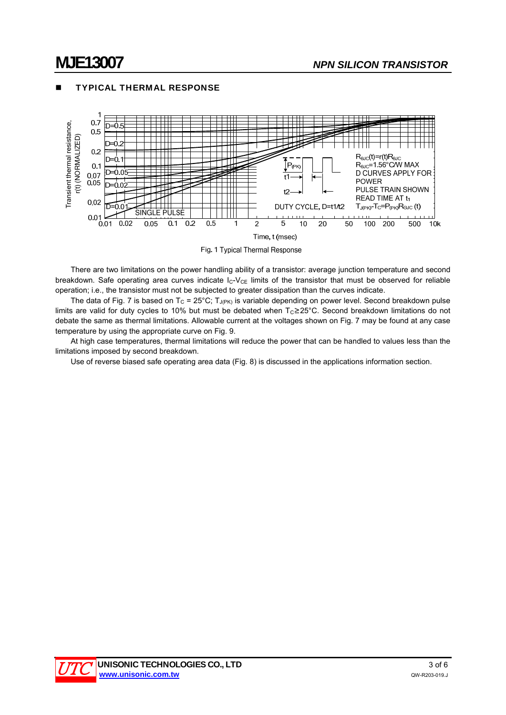

### TYPICAL THERMAL RESPONSE

Fig. 1 Typical Thermal Response

There are two limitations on the power handling ability of a transistor: average junction temperature and second breakdown. Safe operating area curves indicate  $I_C-V_{CE}$  limits of the transistor that must be observed for reliable operation; i.e., the transistor must not be subjected to greater dissipation than the curves indicate.

The data of Fig. 7 is based on T<sub>C</sub> = 25°C; T<sub>J(PK)</sub> is variable depending on power level. Second breakdown pulse limits are valid for duty cycles to 10% but must be debated when T<sub>C</sub>≥25°C. Second breakdown limitations do not debate the same as thermal limitations. Allowable current at the voltages shown on Fig. 7 may be found at any case temperature by using the appropriate curve on Fig. 9.

At high case temperatures, thermal limitations will reduce the power that can be handled to values less than the limitations imposed by second breakdown.

Use of reverse biased safe operating area data (Fig. 8) is discussed in the applications information section.

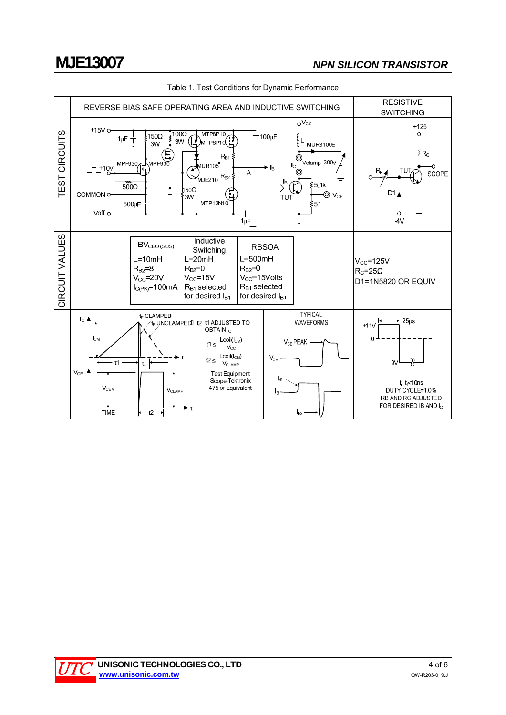



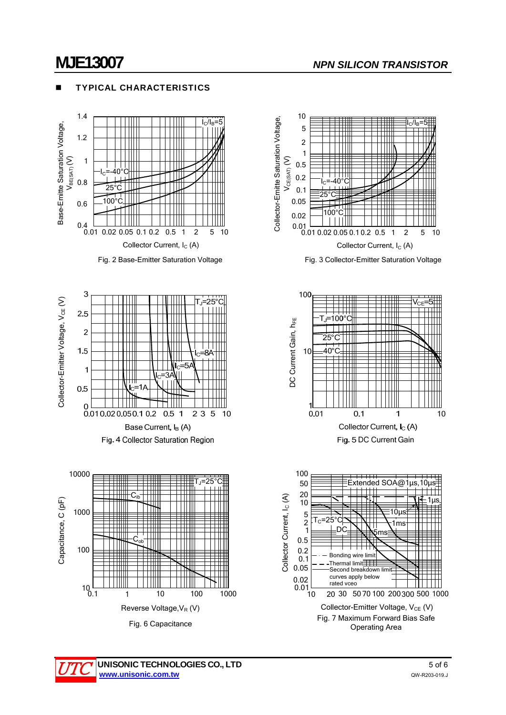# **MJE13007** *NPN SILICON TRANSISTOR*

#### TYPICAL CHARACTERISTICS



Fig. 2 Base-Emitter Saturation Voltage









Fig. 3 Collector-Emitter Saturation Voltage